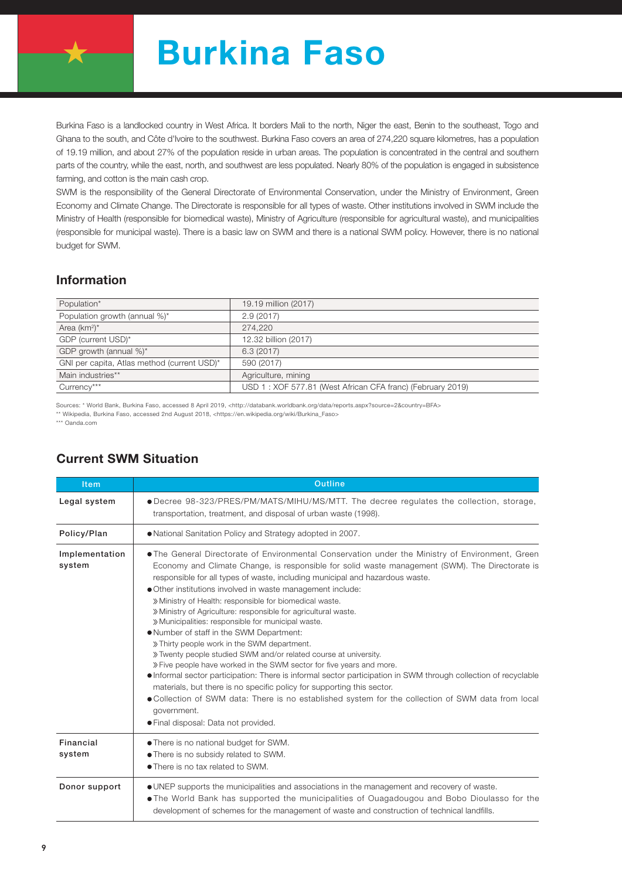

## Burkina Faso

Burkina Faso is a landlocked country in West Africa. It borders Mali to the north, Niger the east, Benin to the southeast, Togo and Ghana to the south, and Côte d'Ivoire to the southwest. Burkina Faso covers an area of 274,220 square kilometres, has a population of 19.19 million, and about 27% of the population reside in urban areas. The population is concentrated in the central and southern parts of the country, while the east, north, and southwest are less populated. Nearly 80% of the population is engaged in subsistence farming, and cotton is the main cash crop.

SWM is the responsibility of the General Directorate of Environmental Conservation, under the Ministry of Environment, Green Economy and Climate Change. The Directorate is responsible for all types of waste. Other institutions involved in SWM include the Ministry of Health (responsible for biomedical waste), Ministry of Agriculture (responsible for agricultural waste), and municipalities (responsible for municipal waste). There is a basic law on SWM and there is a national SWM policy. However, there is no national budget for SWM.

## Information

| Population*                                 | 19.19 million (2017)                                       |
|---------------------------------------------|------------------------------------------------------------|
| Population growth (annual %)*               | 2.9(2017)                                                  |
| Area $(km^2)^*$                             | 274.220                                                    |
| GDP (current USD)*                          | 12.32 billion (2017)                                       |
| GDP growth (annual %)*                      | 6.3(2017)                                                  |
| GNI per capita, Atlas method (current USD)* | 590 (2017)                                                 |
| Main industries**                           | Agriculture, mining                                        |
| Currency***                                 | USD 1: XOF 577.81 (West African CFA franc) (February 2019) |

Sources: \* World Bank, Burkina Faso, accessed 8 April 2019, <http://databank.worldbank.org/data/reports.aspx?source=2&country=BFA>

\*\* Wikipedia, Burkina Faso, accessed 2nd August 2018, <https://en.wikipedia.org/wiki/Burkina\_Faso>

\*\*\* Oanda.com

|  |  | <b>Current SWM Situation</b> |
|--|--|------------------------------|
|--|--|------------------------------|

| <b>Item</b>              | <b>Outline</b>                                                                                                                                                                                                                                                                                                                                                                                                                                                                                                                                                                                                                                                                                                                                                                                                                                                                                                                                                                                                                                                                                                                      |  |  |  |  |  |
|--------------------------|-------------------------------------------------------------------------------------------------------------------------------------------------------------------------------------------------------------------------------------------------------------------------------------------------------------------------------------------------------------------------------------------------------------------------------------------------------------------------------------------------------------------------------------------------------------------------------------------------------------------------------------------------------------------------------------------------------------------------------------------------------------------------------------------------------------------------------------------------------------------------------------------------------------------------------------------------------------------------------------------------------------------------------------------------------------------------------------------------------------------------------------|--|--|--|--|--|
| Legal system             | • Decree 98-323/PRES/PM/MATS/MIHU/MS/MTT. The decree regulates the collection, storage,<br>transportation, treatment, and disposal of urban waste (1998).                                                                                                                                                                                                                                                                                                                                                                                                                                                                                                                                                                                                                                                                                                                                                                                                                                                                                                                                                                           |  |  |  |  |  |
| Policy/Plan              | . National Sanitation Policy and Strategy adopted in 2007.                                                                                                                                                                                                                                                                                                                                                                                                                                                                                                                                                                                                                                                                                                                                                                                                                                                                                                                                                                                                                                                                          |  |  |  |  |  |
| Implementation<br>system | . The General Directorate of Environmental Conservation under the Ministry of Environment, Green<br>Economy and Climate Change, is responsible for solid waste management (SWM). The Directorate is<br>responsible for all types of waste, including municipal and hazardous waste.<br>Other institutions involved in waste management include:<br>» Ministry of Health: responsible for biomedical waste.<br>» Ministry of Agriculture: responsible for agricultural waste.<br>» Municipalities: responsible for municipal waste.<br>. Number of staff in the SWM Department:<br>» Thirty people work in the SWM department.<br>» Twenty people studied SWM and/or related course at university.<br>» Five people have worked in the SWM sector for five years and more.<br>• Informal sector participation: There is informal sector participation in SWM through collection of recyclable<br>materials, but there is no specific policy for supporting this sector.<br>• Collection of SWM data: There is no established system for the collection of SWM data from local<br>government.<br>• Final disposal: Data not provided. |  |  |  |  |  |
| Financial<br>system      | • There is no national budget for SWM.<br>• There is no subsidy related to SWM.<br>• There is no tax related to SWM.                                                                                                                                                                                                                                                                                                                                                                                                                                                                                                                                                                                                                                                                                                                                                                                                                                                                                                                                                                                                                |  |  |  |  |  |
| Donor support            | • UNEP supports the municipalities and associations in the management and recovery of waste.<br>• The World Bank has supported the municipalities of Ouagadougou and Bobo Dioulasso for the<br>development of schemes for the management of waste and construction of technical landfills.                                                                                                                                                                                                                                                                                                                                                                                                                                                                                                                                                                                                                                                                                                                                                                                                                                          |  |  |  |  |  |